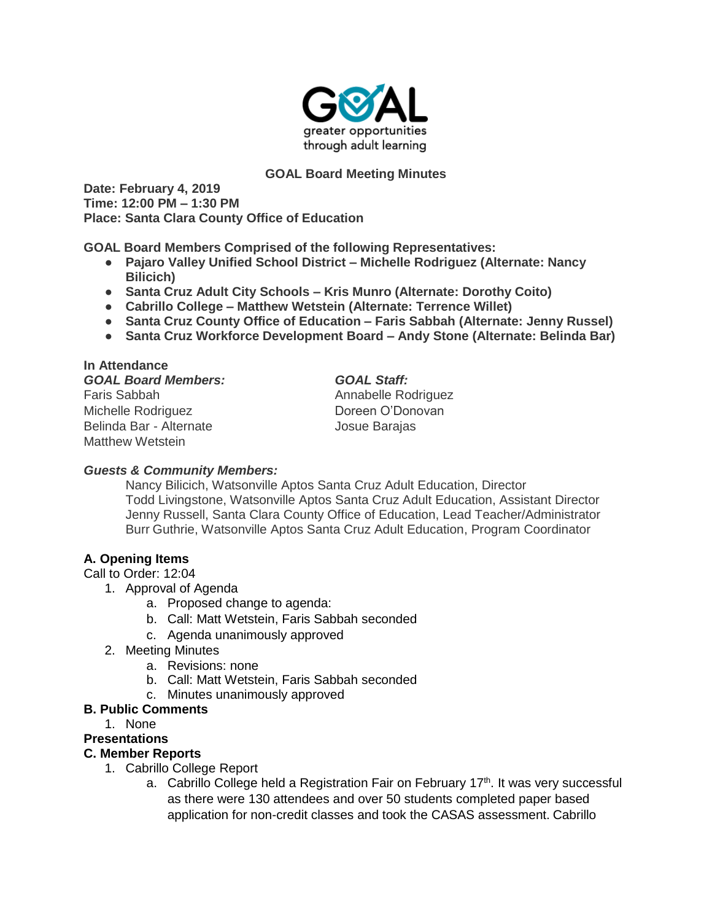

# **GOAL Board Meeting Minutes**

**Date: February 4, 2019 Time: 12:00 PM – 1:30 PM Place: Santa Clara County Office of Education**

**GOAL Board Members Comprised of the following Representatives:**

- **Pajaro Valley Unified School District – Michelle Rodriguez (Alternate: Nancy Bilicich)**
- **Santa Cruz Adult City Schools – Kris Munro (Alternate: Dorothy Coito)**
- **Cabrillo College – Matthew Wetstein (Alternate: Terrence Willet)**
- **Santa Cruz County Office of Education – Faris Sabbah (Alternate: Jenny Russel)**
- **Santa Cruz Workforce Development Board – Andy Stone (Alternate: Belinda Bar)**

| In Attendance              |                     |
|----------------------------|---------------------|
| <b>GOAL Board Members:</b> | <b>GOAL Staff:</b>  |
| Faris Sabbah               | Annabelle Rodriguez |
| Michelle Rodriguez         | Doreen O'Donovan    |
| Belinda Bar - Alternate    | Josue Barajas       |
| <b>Matthew Wetstein</b>    |                     |

# *Guests & Community Members:*

Nancy Bilicich, Watsonville Aptos Santa Cruz Adult Education, Director Todd Livingstone, Watsonville Aptos Santa Cruz Adult Education, Assistant Director Jenny Russell, Santa Clara County Office of Education, Lead Teacher/Administrator Burr Guthrie, Watsonville Aptos Santa Cruz Adult Education, Program Coordinator

# **A. Opening Items**

Call to Order: 12:04

- 1. Approval of Agenda
	- a. Proposed change to agenda:
	- b. Call: Matt Wetstein, Faris Sabbah seconded
	- c. Agenda unanimously approved
- 2. Meeting Minutes
	- a. Revisions: none
	- b. Call: Matt Wetstein, Faris Sabbah seconded
	- c. Minutes unanimously approved

### **B. Public Comments**

1. None

### **Presentations**

# **C. Member Reports**

- 1. Cabrillo College Report
	- a. Cabrillo College held a Registration Fair on February 17<sup>th</sup>. It was very successful as there were 130 attendees and over 50 students completed paper based application for non-credit classes and took the CASAS assessment. Cabrillo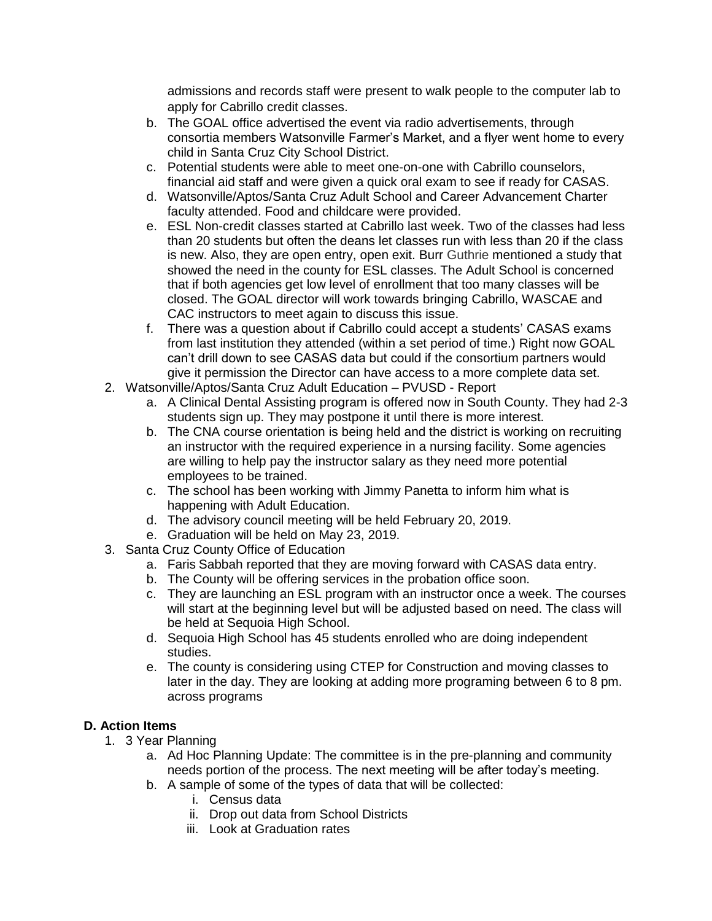admissions and records staff were present to walk people to the computer lab to apply for Cabrillo credit classes.

- b. The GOAL office advertised the event via radio advertisements, through consortia members Watsonville Farmer's Market, and a flyer went home to every child in Santa Cruz City School District.
- c. Potential students were able to meet one-on-one with Cabrillo counselors, financial aid staff and were given a quick oral exam to see if ready for CASAS.
- d. Watsonville/Aptos/Santa Cruz Adult School and Career Advancement Charter faculty attended. Food and childcare were provided.
- e. ESL Non-credit classes started at Cabrillo last week. Two of the classes had less than 20 students but often the deans let classes run with less than 20 if the class is new. Also, they are open entry, open exit. Burr Guthrie mentioned a study that showed the need in the county for ESL classes. The Adult School is concerned that if both agencies get low level of enrollment that too many classes will be closed. The GOAL director will work towards bringing Cabrillo, WASCAE and CAC instructors to meet again to discuss this issue.
- f. There was a question about if Cabrillo could accept a students' CASAS exams from last institution they attended (within a set period of time.) Right now GOAL can't drill down to see CASAS data but could if the consortium partners would give it permission the Director can have access to a more complete data set.
- 2. Watsonville/Aptos/Santa Cruz Adult Education PVUSD Report
	- a. A Clinical Dental Assisting program is offered now in South County. They had 2-3 students sign up. They may postpone it until there is more interest.
	- b. The CNA course orientation is being held and the district is working on recruiting an instructor with the required experience in a nursing facility. Some agencies are willing to help pay the instructor salary as they need more potential employees to be trained.
	- c. The school has been working with Jimmy Panetta to inform him what is happening with Adult Education.
	- d. The advisory council meeting will be held February 20, 2019.
	- e. Graduation will be held on May 23, 2019.
- 3. Santa Cruz County Office of Education
	- a. Faris Sabbah reported that they are moving forward with CASAS data entry.
	- b. The County will be offering services in the probation office soon.
	- c. They are launching an ESL program with an instructor once a week. The courses will start at the beginning level but will be adjusted based on need. The class will be held at Sequoia High School.
	- d. Sequoia High School has 45 students enrolled who are doing independent studies.
	- e. The county is considering using CTEP for Construction and moving classes to later in the day. They are looking at adding more programing between 6 to 8 pm. across programs

# **D. Action Items**

- 1. 3 Year Planning
	- a. Ad Hoc Planning Update: The committee is in the pre-planning and community needs portion of the process. The next meeting will be after today's meeting.
	- b. A sample of some of the types of data that will be collected:
		- i. Census data
		- ii. Drop out data from School Districts
		- iii. Look at Graduation rates